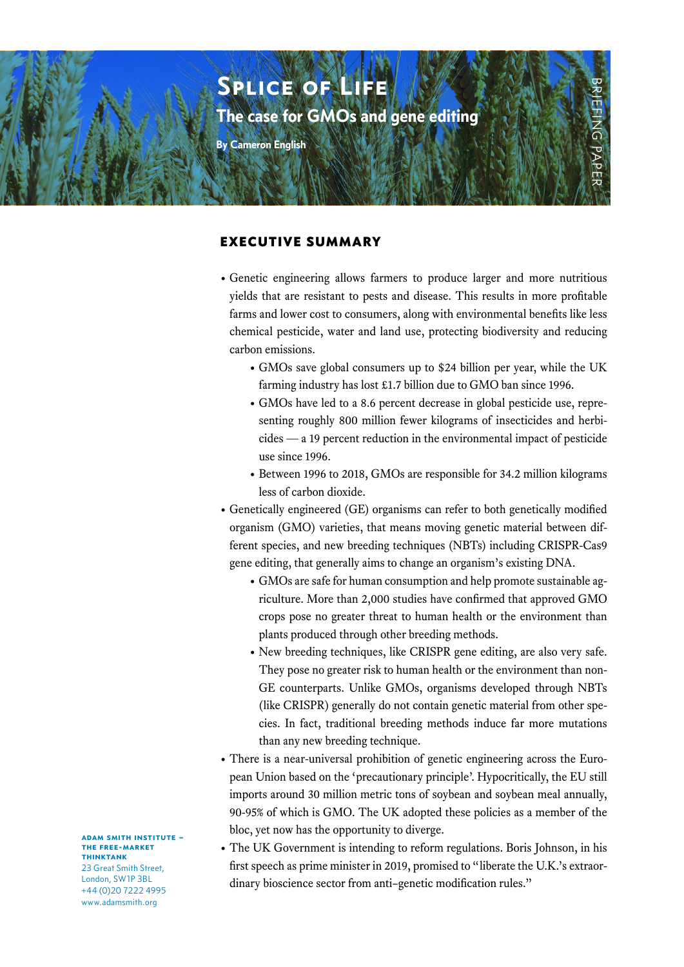

#### EXECUTIVE SUMMARY

- Genetic engineering allows farmers to produce larger and more nutritious yields that are resistant to pests and disease. This results in more profitable farms and lower cost to consumers, along with environmental benefits like less chemical pesticide, water and land use, protecting biodiversity and reducing carbon emissions.
	- GMOs save global consumers up to \$24 billion per year, while the UK farming industry has lost £1.7 billion due to GMO ban since 1996.
	- GMOs have led to a 8.6 percent decrease in global pesticide use, representing roughly 800 million fewer kilograms of insecticides and herbicides — a 19 percent reduction in the environmental impact of pesticide use since 1996.
	- Between 1996 to 2018, GMOs are responsible for 34.2 million kilograms less of carbon dioxide.
- Genetically engineered (GE) organisms can refer to both genetically modified organism (GMO) varieties, that means moving genetic material between different species, and new breeding techniques (NBTs) including CRISPR-Cas9 gene editing, that generally aims to change an organism's existing DNA.
	- GMOs are safe for human consumption and help promote sustainable agriculture. More than 2,000 studies have confirmed that approved GMO crops pose no greater threat to human health or the environment than plants produced through other breeding methods.
	- New breeding techniques, like CRISPR gene editing, are also very safe. They pose no greater risk to human health or the environment than non-GE counterparts. Unlike GMOs, organisms developed through NBTs (like CRISPR) generally do not contain genetic material from other species. In fact, traditional breeding methods induce far more mutations than any new breeding technique.
- There is a near-universal prohibition of genetic engineering across the European Union based on the 'precautionary principle'. Hypocritically, the EU still imports around 30 million metric tons of soybean and soybean meal annually, 90-95% of which is GMO. The UK adopted these policies as a member of the bloc, yet now has the opportunity to diverge.
- The UK Government is intending to reform regulations. Boris Johnson, in his first speech as prime minister in 2019, promised to "liberate the U.K.'s extraordinary bioscience sector from anti–genetic modification rules."

adam smith institute – the free-market thinktank 23 Great Smith Street

London, SW1P 3BL +44 (0)20 7222 4995 www.adamsmith.org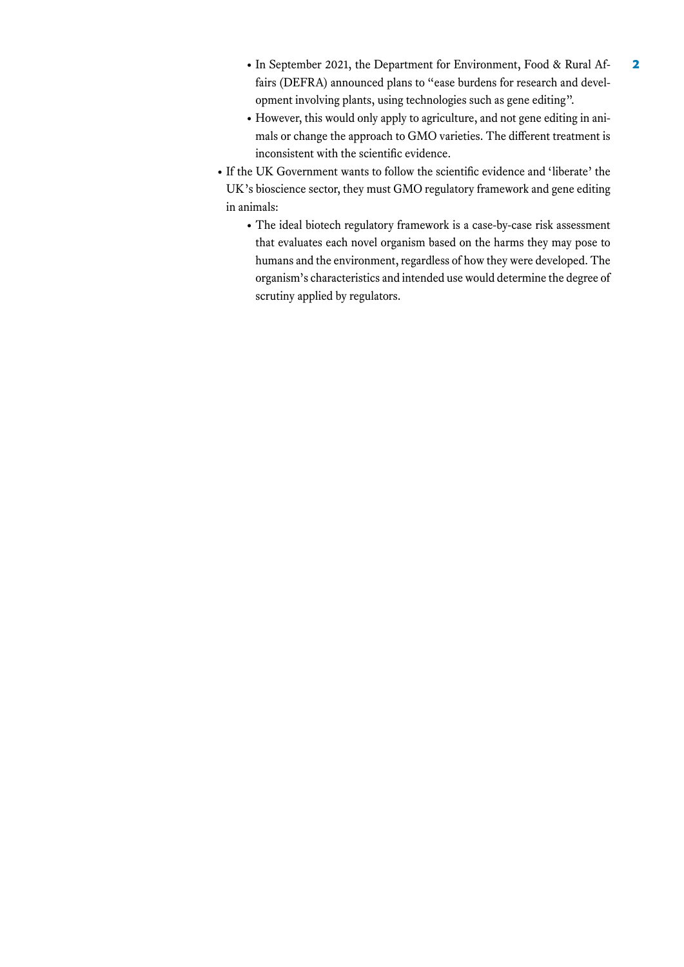- In September 2021, the Department for Environment, Food & Rural Affairs (DEFRA) announced plans to "ease burdens for research and development involving plants, using technologies such as gene editing".
- However, this would only apply to agriculture, and not gene editing in animals or change the approach to GMO varieties. The different treatment is inconsistent with the scientific evidence.
- If the UK Government wants to follow the scientific evidence and 'liberate' the UK's bioscience sector, they must GMO regulatory framework and gene editing in animals:
	- The ideal biotech regulatory framework is a case-by-case risk assessment that evaluates each novel organism based on the harms they may pose to humans and the environment, regardless of how they were developed. The organism's characteristics and intended use would determine the degree of scrutiny applied by regulators.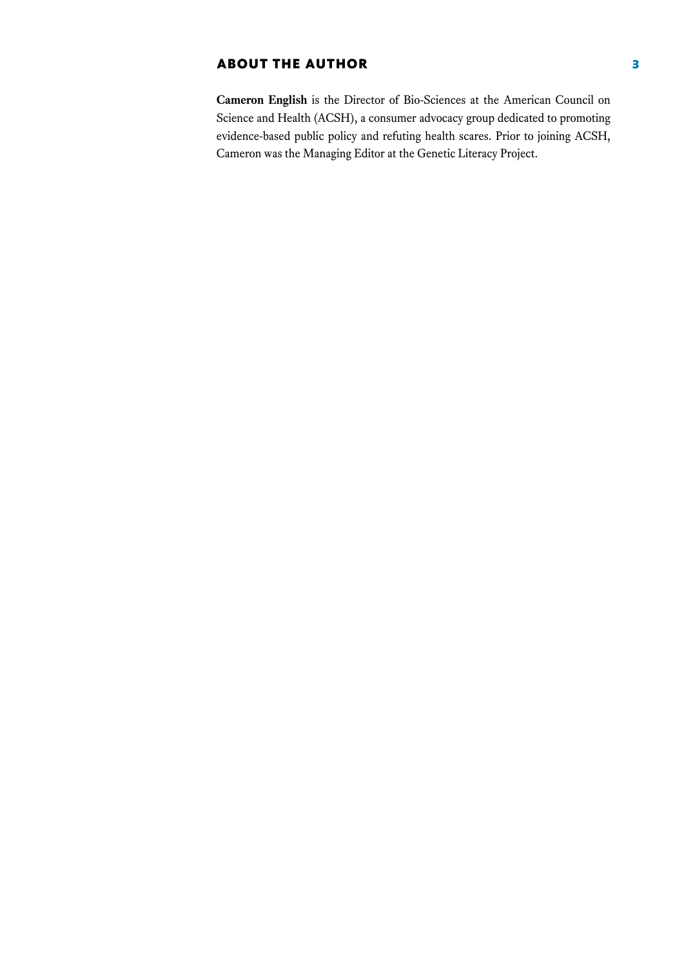# ABOUT THE AUTHOR **3**

**Cameron English** is the Director of Bio-Sciences at the American Council on Science and Health (ACSH), a consumer advocacy group dedicated to promoting evidence-based public policy and refuting health scares. Prior to joining ACSH, Cameron was the Managing Editor at the Genetic Literacy Project.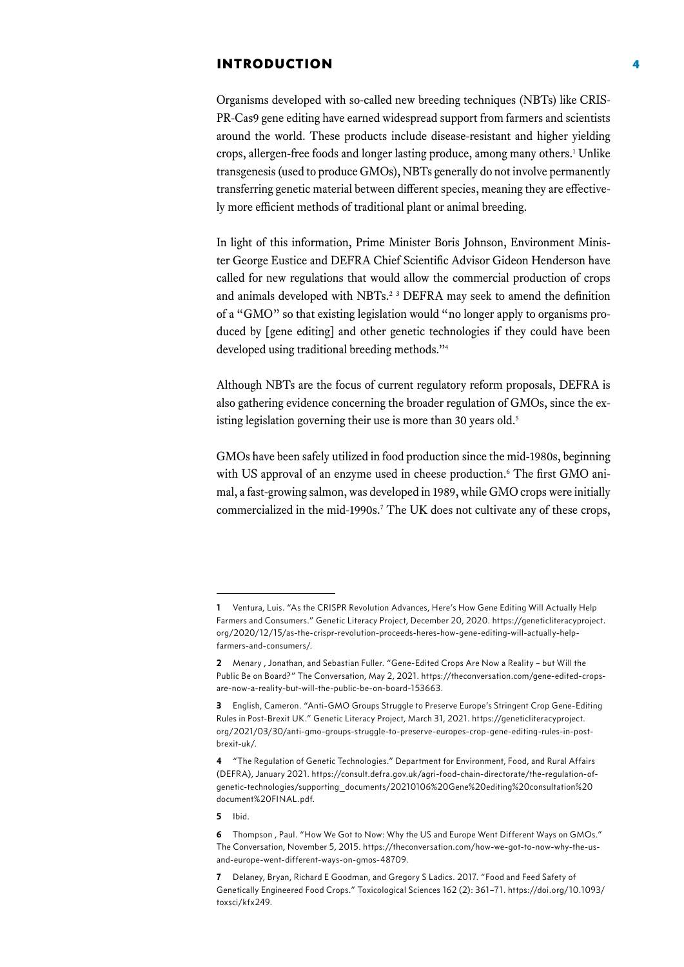#### INTRODUCTION 4

Organisms developed with so-called new breeding techniques (NBTs) like CRIS-PR-Cas9 gene editing have earned widespread support from farmers and scientists around the world. These products include disease-resistant and higher yielding crops, allergen-free foods and longer lasting produce, among many others.<sup>1</sup> Unlike transgenesis (used to produce GMOs), NBTs generally do not involve permanently transferring genetic material between different species, meaning they are effectively more efficient methods of traditional plant or animal breeding.

In light of this information, Prime Minister Boris Johnson, Environment Minister George Eustice and DEFRA Chief Scientific Advisor Gideon Henderson have called for new regulations that would allow the commercial production of crops and animals developed with NBTs.<sup>2 3</sup> DEFRA may seek to amend the definition of a "GMO" so that existing legislation would "no longer apply to organisms produced by [gene editing] and other genetic technologies if they could have been developed using traditional breeding methods."4

Although NBTs are the focus of current regulatory reform proposals, DEFRA is also gathering evidence concerning the broader regulation of GMOs, since the existing legislation governing their use is more than 30 years old.<sup>5</sup>

GMOs have been safely utilized in food production since the mid-1980s, beginning with US approval of an enzyme used in cheese production.<sup>6</sup> The first GMO animal, a fast-growing salmon, was developed in 1989, while GMO crops were initially commercialized in the mid-1990s.<sup>7</sup> The UK does not cultivate any of these crops,

**5** Ibid.

**<sup>1</sup>** Ventura, Luis. "As the CRISPR Revolution Advances, Here's How Gene Editing Will Actually Help Farmers and Consumers." Genetic Literacy Project, December 20, 2020. [https://geneticliteracyproject.](https://geneticliteracyproject.org/2020/12/15/as-the-crispr-revolution-proceeds-heres-how-gene-editing-will-actually-help-farmers-and-consumers/) [org/2020/12/15/as-the-crispr-revolution-proceeds-heres-how-gene-editing-will-actually-help](https://geneticliteracyproject.org/2020/12/15/as-the-crispr-revolution-proceeds-heres-how-gene-editing-will-actually-help-farmers-and-consumers/)[farmers-and-consumers/.](https://geneticliteracyproject.org/2020/12/15/as-the-crispr-revolution-proceeds-heres-how-gene-editing-will-actually-help-farmers-and-consumers/)

**<sup>2</sup>** Menary , Jonathan, and Sebastian Fuller. "Gene-Edited Crops Are Now a Reality – but Will the Public Be on Board?" The Conversation, May 2, 2021. [https://theconversation.com/gene-edited-crops](https://theconversation.com/gene-edited-crops-are-now-a-reality-but-will-the-public-be-on-board-153663)[are-now-a-reality-but-will-the-public-be-on-board-153663.](https://theconversation.com/gene-edited-crops-are-now-a-reality-but-will-the-public-be-on-board-153663)

**<sup>3</sup>** English, Cameron. "Anti-GMO Groups Struggle to Preserve Europe's Stringent Crop Gene-Editing Rules in Post-Brexit UK." Genetic Literacy Project, March 31, 2021[. https://geneticliteracyproject.](https://geneticliteracyproject.org/2021/03/30/anti-gmo-groups-struggle-to-preserve-europes-crop-gene-editing-rules-in-post-brexit-uk/) [org/2021/03/30/anti-gmo-groups-struggle-to-preserve-europes-crop-gene-editing-rules-in-post](https://geneticliteracyproject.org/2021/03/30/anti-gmo-groups-struggle-to-preserve-europes-crop-gene-editing-rules-in-post-brexit-uk/)[brexit-uk/](https://geneticliteracyproject.org/2021/03/30/anti-gmo-groups-struggle-to-preserve-europes-crop-gene-editing-rules-in-post-brexit-uk/).

**<sup>4</sup>** "The Regulation of Genetic Technologies." Department for Environment, Food, and Rural Affairs (DEFRA), January 2021. [https://consult.defra.gov.uk/agri-food-chain-directorate/the-regulation-of](https://consult.defra.gov.uk/agri-food-chain-directorate/the-regulation-of-genetic-technologies/supporting_documents/20210106%20Gene%20editing%20consultation%20document%20FINAL.pdf)[genetic-technologies/supporting\\_documents/20210106%20Gene%20editing%20consultation%20](https://consult.defra.gov.uk/agri-food-chain-directorate/the-regulation-of-genetic-technologies/supporting_documents/20210106%20Gene%20editing%20consultation%20document%20FINAL.pdf) [document%20FINAL.pdf.](https://consult.defra.gov.uk/agri-food-chain-directorate/the-regulation-of-genetic-technologies/supporting_documents/20210106%20Gene%20editing%20consultation%20document%20FINAL.pdf) 

**<sup>6</sup>** Thompson , Paul. "How We Got to Now: Why the US and Europe Went Different Ways on GMOs." The Conversation, November 5, 2015[. https://theconversation.com/how-we-got-to-now-why-the-us](https://theconversation.com/how-we-got-to-now-why-the-us-and-europe-went-different-ways-on-gmos-48709)[and-europe-went-different-ways-on-gmos-48709.](https://theconversation.com/how-we-got-to-now-why-the-us-and-europe-went-different-ways-on-gmos-48709)

**<sup>7</sup>** Delaney, Bryan, Richard E Goodman, and Gregory S Ladics. 2017. "Food and Feed Safety of Genetically Engineered Food Crops." Toxicological Sciences 162 (2): 361–71. [https://doi.org/10.1093/](https://academic.oup.com/toxsci/article/162/2/361/4675348) [toxsci/kfx249.](https://academic.oup.com/toxsci/article/162/2/361/4675348)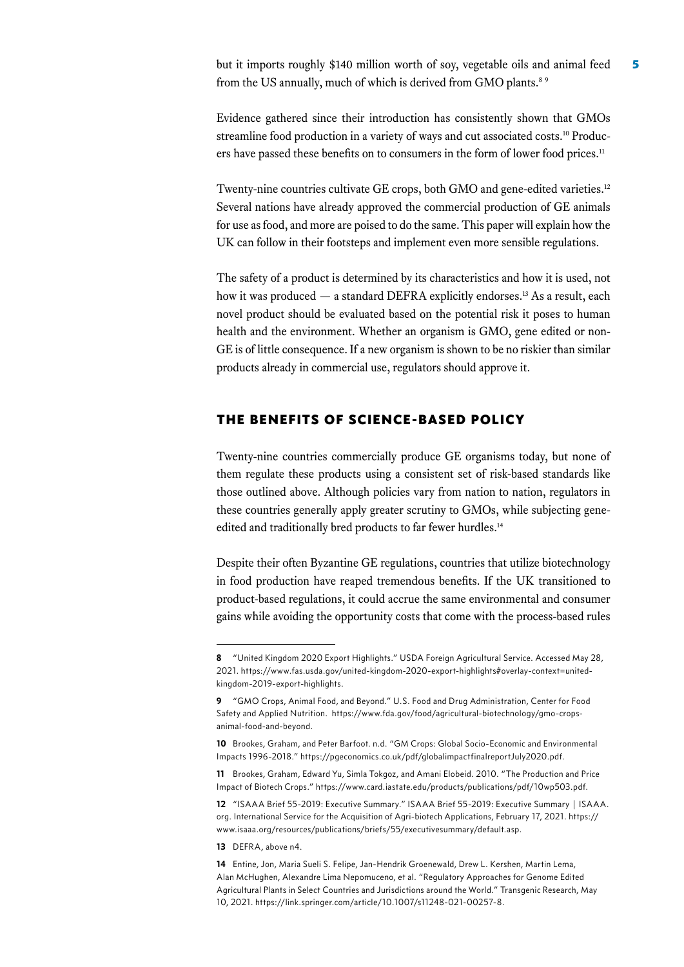but it imports roughly \$140 million worth of soy, vegetable oils and animal feed 5 from the US annually, much of which is derived from GMO plants.<sup>8 9</sup>

Evidence gathered since their introduction has consistently shown that GMOs streamline food production in a variety of ways and cut associated costs.10 Producers have passed these benefits on to consumers in the form of lower food prices.<sup>11</sup>

Twenty-nine countries cultivate GE crops, both GMO and gene-edited varieties.<sup>12</sup> Several nations have already approved the commercial production of GE animals for use as food, and more are poised to do the same. This paper will explain how the UK can follow in their footsteps and implement even more sensible regulations.

The safety of a product is determined by its characteristics and how it is used, not how it was produced — a standard DEFRA explicitly endorses.<sup>13</sup> As a result, each novel product should be evaluated based on the potential risk it poses to human health and the environment. Whether an organism is GMO, gene edited or non-GE is of little consequence. If a new organism is shown to be no riskier than similar products already in commercial use, regulators should approve it.

#### THE BENEFITS OF SCIENCE-BASED POLICY

Twenty-nine countries commercially produce GE organisms today, but none of them regulate these products using a consistent set of risk-based standards like those outlined above. Although policies vary from nation to nation, regulators in these countries generally apply greater scrutiny to GMOs, while subjecting geneedited and traditionally bred products to far fewer hurdles.<sup>14</sup>

Despite their often Byzantine GE regulations, countries that utilize biotechnology in food production have reaped tremendous benefits. If the UK transitioned to product-based regulations, it could accrue the same environmental and consumer gains while avoiding the opportunity costs that come with the process-based rules

**13** DEFRA, above n4.

**<sup>8</sup>** "United Kingdom 2020 Export Highlights." USDA Foreign Agricultural Service. Accessed May 28, 2021. https://www.fas.usda.gov/united-kingdom-2020-export-highlights#overlay-context=unitedkingdom-2019-export-highlights.

**<sup>9</sup>** "GMO Crops, Animal Food, and Beyond." U.S. Food and Drug Administration, Center for Food Safety and Applied Nutrition. [https://www.fda.gov/food/agricultural-biotechnology/gmo-crops](https://www.fda.gov/food/agricultural-biotechnology/gmo-crops-animal-food-and-beyond)[animal-food-and-beyond](https://www.fda.gov/food/agricultural-biotechnology/gmo-crops-animal-food-and-beyond).

**<sup>10</sup>** Brookes, Graham, and Peter Barfoot. n.d. "GM Crops: Global Socio-Economic and Environmental Impacts 1996-2018." [https://pgeconomics.co.uk/pdf/globalimpactfinalreportJuly2020.pdf.](https://pgeconomics.co.uk/pdf/globalimpactfinalreportJuly2020.pdf)

**<sup>11</sup>** Brookes, Graham, Edward Yu, Simla Tokgoz, and Amani Elobeid. 2010. "The Production and Price Impact of Biotech Crops." [https://www.card.iastate.edu/products/publications/pdf/10wp503.pdf.](https://www.card.iastate.edu/products/publications/pdf/10wp503.pdf)

**<sup>12</sup>** "ISAAA Brief 55-2019: Executive Summary." ISAAA Brief 55-2019: Executive Summary | ISAAA. org. International Service for the Acquisition of Agri-biotech Applications, February 17, 2021. [https://](https://www.isaaa.org/resources/publications/briefs/55/executivesummary/default.asp) [www.isaaa.org/resources/publications/briefs/55/executivesummary/default.asp](https://www.isaaa.org/resources/publications/briefs/55/executivesummary/default.asp).

**<sup>14</sup>** Entine, Jon, Maria Sueli S. Felipe, Jan-Hendrik Groenewald, Drew L. Kershen, Martin Lema, Alan McHughen, Alexandre Lima Nepomuceno, et al. "Regulatory Approaches for Genome Edited Agricultural Plants in Select Countries and Jurisdictions around the World." Transgenic Research, May 10, 2021. [https://link.springer.com/article/10.1007/s11248-021-00257-8](https://link.springer.com/content/pdf/10.1007/s11248-021-00257-8.pdf).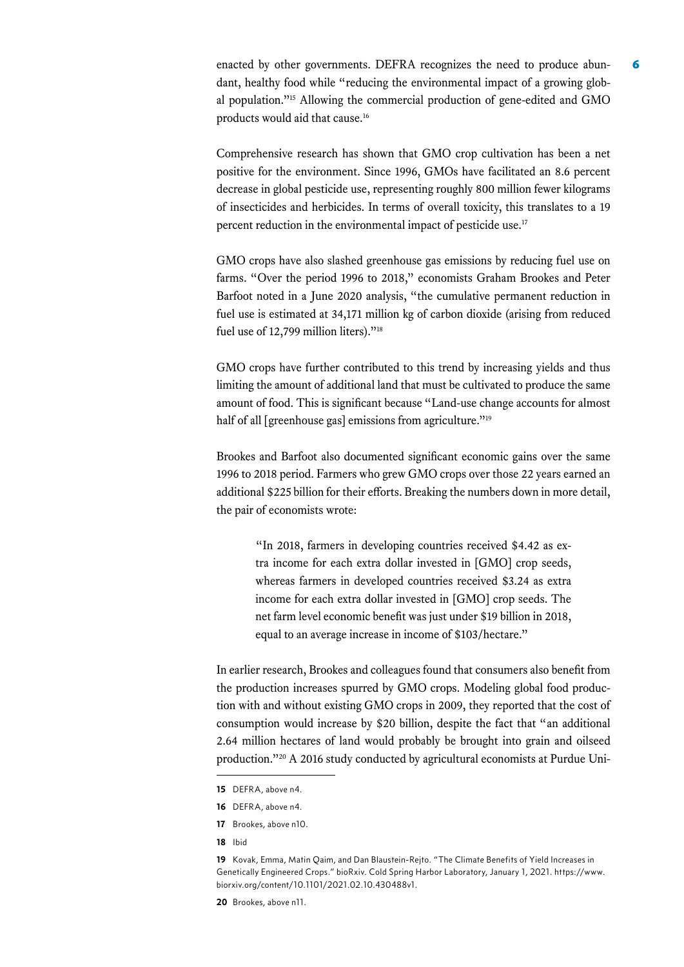enacted by other governments. DEFRA recognizes the need to produce abundant, healthy food while "reducing the environmental impact of a growing global population."15 Allowing the commercial production of gene-edited and GMO products would aid that cause.<sup>16</sup>

Comprehensive research has shown that GMO crop cultivation has been a net positive for the environment. Since 1996, GMOs have facilitated an 8.6 percent decrease in global pesticide use, representing roughly 800 million fewer kilograms of insecticides and herbicides. In terms of overall toxicity, this translates to a 19 percent reduction in the environmental impact of pesticide use.<sup>17</sup>

GMO crops have also slashed greenhouse gas emissions by reducing fuel use on farms. "Over the period 1996 to 2018," economists Graham Brookes and Peter Barfoot noted in a June 2020 analysis, "the cumulative permanent reduction in fuel use is estimated at 34,171 million kg of carbon dioxide (arising from reduced fuel use of 12,799 million liters)."<sup>18</sup>

GMO crops have further contributed to this trend by increasing yields and thus limiting the amount of additional land that must be cultivated to produce the same amount of food. This is significant because "Land-use change accounts for almost half of all [greenhouse gas] emissions from agriculture."<sup>19</sup>

Brookes and Barfoot also documented significant economic gains over the same 1996 to 2018 period. Farmers who grew GMO crops over those 22 years earned an additional \$225 billion for their efforts. Breaking the numbers down in more detail, the pair of economists wrote:

"In 2018, farmers in developing countries received \$4.42 as extra income for each extra dollar invested in [GMO] crop seeds, whereas farmers in developed countries received \$3.24 as extra income for each extra dollar invested in [GMO] crop seeds. The net farm level economic benefit was just under \$19 billion in 2018, equal to an average increase in income of \$103/hectare."

In earlier research, Brookes and colleagues found that consumers also benefit from the production increases spurred by GMO crops. Modeling global food production with and without existing GMO crops in 2009, they reported that the cost of consumption would increase by \$20 billion, despite the fact that "an additional 2.64 million hectares of land would probably be brought into grain and oilseed production."20 A 2016 study conducted by agricultural economists at Purdue Uni-

- **16** DEFRA, above n4.
- **17** Brookes, above n10.
- **18** Ibid

**<sup>15</sup>** DEFRA, above n4.

**<sup>19</sup>** Kovak, Emma, Matin Qaim, and Dan Blaustein-Rejto. "The Climate Benefits of Yield Increases in Genetically Engineered Crops." bioRxiv. Cold Spring Harbor Laboratory, January 1, 2021. [https://www.](https://www.biorxiv.org/content/10.1101/2021.02.10.430488v1) [biorxiv.org/content/10.1101/2021.02.10.430488v1](https://www.biorxiv.org/content/10.1101/2021.02.10.430488v1).

**<sup>20</sup>** Brookes, above n11.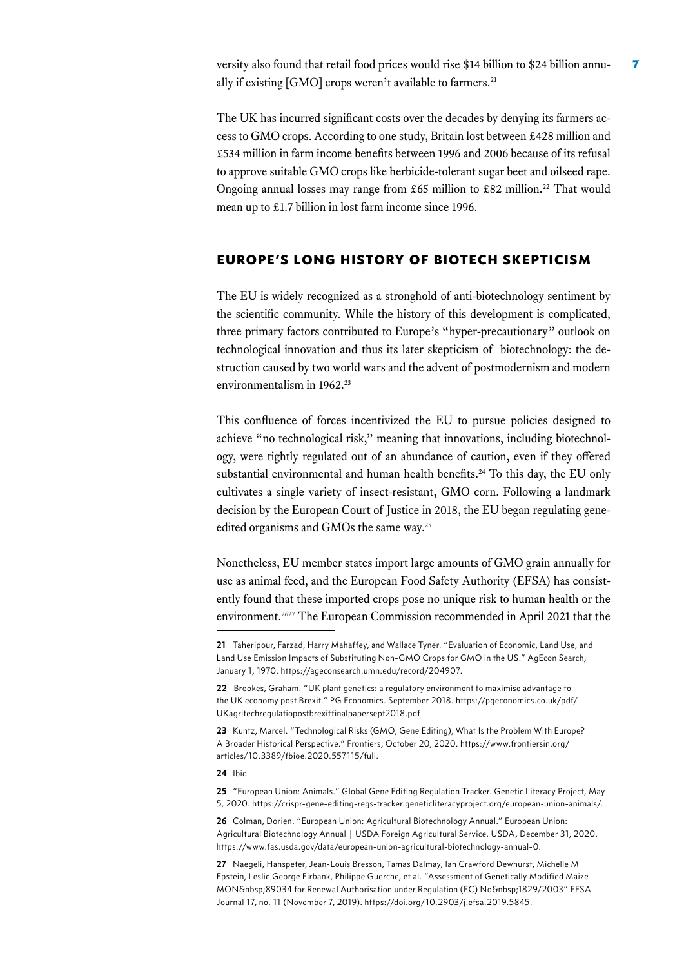versity also found that retail food prices would rise \$14 billion to \$24 billion annually if existing [GMO] crops weren't available to farmers.<sup>21</sup>

The UK has incurred significant costs over the decades by denying its farmers access to GMO crops. According to one study, Britain lost between £428 million and £534 million in farm income benefits between 1996 and 2006 because of its refusal to approve suitable GMO crops like herbicide-tolerant sugar beet and oilseed rape. Ongoing annual losses may range from £65 million to £82 million.<sup>22</sup> That would mean up to £1.7 billion in lost farm income since 1996.

## EUROPE'S LONG HISTORY OF BIOTECH SKEPTICISM

The EU is widely recognized as a stronghold of anti-biotechnology sentiment by the scientific community. While the history of this development is complicated, three primary factors contributed to Europe's "hyper-precautionary" outlook on technological innovation and thus its later skepticism of biotechnology: the destruction caused by two world wars and the advent of postmodernism and modern environmentalism in 1962.23

This confluence of forces incentivized the EU to pursue policies designed to achieve "no technological risk," meaning that innovations, including biotechnology, were tightly regulated out of an abundance of caution, even if they offered substantial environmental and human health benefits.24 To this day, the EU only cultivates a single variety of insect-resistant, GMO corn. Following a landmark decision by the European Court of Justice in 2018, the EU began regulating geneedited organisms and GMOs the same way.<sup>25</sup>

Nonetheless, EU member states import large amounts of GMO grain annually for use as animal feed, and the European Food Safety Authority (EFSA) has consistently found that these imported crops pose no unique risk to human health or the environment.<sup>2627</sup> The European Commission recommended in April 2021 that the

#### **24** Ibid

**25** "European Union: Animals." Global Gene Editing Regulation Tracker. Genetic Literacy Project, May 5, 2020. [https://crispr-gene-editing-regs-tracker.geneticliteracyproject.org/european-union-animals/.](https://crispr-gene-editing-regs-tracker.geneticliteracyproject.org/european-union-animals/)

**26** Colman, Dorien. "European Union: Agricultural Biotechnology Annual." European Union: Agricultural Biotechnology Annual | USDA Foreign Agricultural Service. USDA, December 31, 2020[.](https://www.fas.usda.gov/data/european-union-agricultural-biotechnology-annual-0)  [https://www.fas.usda.gov/data/european-union-agricultural-biotechnology-annual-0.](https://www.fas.usda.gov/data/european-union-agricultural-biotechnology-annual-0)

**27** Naegeli, Hanspeter, Jean-Louis Bresson, Tamas Dalmay, Ian Crawford Dewhurst, Michelle M Epstein, Leslie George Firbank, Philippe Guerche, et al. "Assessment of Genetically Modified Maize MON 89034 for Renewal Authorisation under Regulation (EC) No 1829/2003" EFSA Journal 17, no. 11 (November 7, 2019). [https://doi.org/10.2903/j.efsa.2019.5845](https://efsa.onlinelibrary.wiley.com/doi/full/10.2903/j.efsa.2019.5845).

**<sup>21</sup>** Taheripour, Farzad, Harry Mahaffey, and Wallace Tyner. "Evaluation of Economic, Land Use, and Land Use Emission Impacts of Substituting Non-GMO Crops for GMO in the US." AgEcon Search, January 1, 1970. [https://ageconsearch.umn.edu/record/204907.](https://ageconsearch.umn.edu/record/204907)

**<sup>22</sup>** Brookes, Graham. "UK plant genetics: a regulatory environment to maximise advantage to the UK economy post Brexit." PG Economics. September 2018. [https://pgeconomics.co.uk/pdf/](https://pgeconomics.co.uk/pdf/UKagritechregulatiopostbrexitfinalpapersept2018.pdf) [UKagritechregulatiopostbrexitfinalpapersept2018.pdf](https://pgeconomics.co.uk/pdf/UKagritechregulatiopostbrexitfinalpapersept2018.pdf) 

**<sup>23</sup>** Kuntz, Marcel. "Technological Risks (GMO, Gene Editing), What Is the Problem With Europe? A Broader Historical Perspective." Frontiers, October 20, 2020. [https://www.frontiersin.org/](https://www.frontiersin.org/articles/10.3389/fbioe.2020.557115/full) [articles/10.3389/fbioe.2020.557115/full](https://www.frontiersin.org/articles/10.3389/fbioe.2020.557115/full).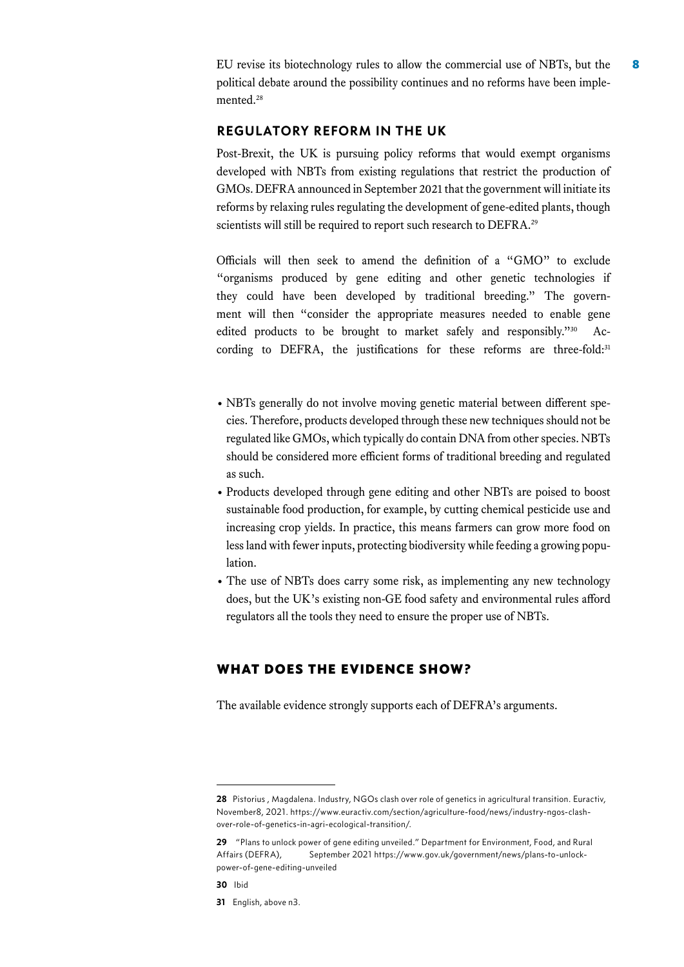EU revise its biotechnology rules to allow the commercial use of NBTs, but the 8 political debate around the possibility continues and no reforms have been implemented.<sup>28</sup>

#### REGULATORY REFORM IN THE UK

Post-Brexit, the UK is pursuing policy reforms that would exempt organisms developed with NBTs from existing regulations that restrict the production of GMOs. DEFRA announced in September 2021 that the government will initiate its reforms by relaxing rules regulating the development of gene-edited plants, though scientists will still be required to report such research to DEFRA.<sup>29</sup>

Officials will then seek to amend the definition of a "GMO" to exclude "organisms produced by gene editing and other genetic technologies if they could have been developed by traditional breeding." The government will then "consider the appropriate measures needed to enable gene edited products to be brought to market safely and responsibly."30 According to DEFRA, the justifications for these reforms are three-fold:31

- NBTs generally do not involve moving genetic material between different species. Therefore, products developed through these new techniques should not be regulated like GMOs, which typically do contain DNA from other species. NBTs should be considered more efficient forms of traditional breeding and regulated as such.
- Products developed through gene editing and other NBTs are poised to boost sustainable food production, for example, by cutting chemical pesticide use and increasing crop yields. In practice, this means farmers can grow more food on less land with fewer inputs, protecting biodiversity while feeding a growing population.
- The use of NBTs does carry some risk, as implementing any new technology does, but the UK's existing non-GE food safety and environmental rules afford regulators all the tools they need to ensure the proper use of NBTs.

## WHAT DOES THE EVIDENCE SHOW?

The available evidence strongly supports each of DEFRA's arguments.

**30** Ibid

**<sup>28</sup>** Pistorius , Magdalena. Industry, NGOs clash over role of genetics in agricultural transition. Euractiv, November8, 2021. [https://www.euractiv.com/section/agriculture-food/news/industry-ngos-clash](https://www.euractiv.com/section/agriculture-food/news/industry-ngos-clash-over-role-of-genetics-in-agri-ecological-transition/)[over-role-of-genetics-in-agri-ecological-transition/](https://www.euractiv.com/section/agriculture-food/news/industry-ngos-clash-over-role-of-genetics-in-agri-ecological-transition/).

**<sup>29</sup>** "Plans to unlock power of gene editing unveiled." Department for Environment, Food, and Rural Affairs (DEFRA), September 2021 https://www.gov.uk/government/news/plans-to-unlockpower-of-gene-editing-unveiled

**<sup>31</sup>** English, above n3.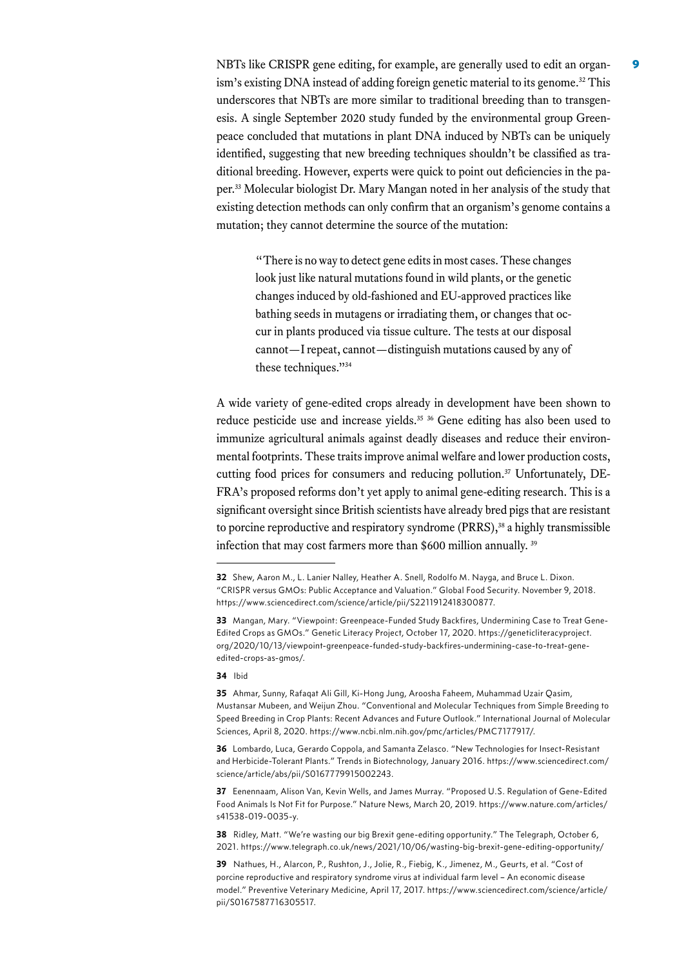NBTs like CRISPR gene editing, for example, are generally used to edit an organism's existing DNA instead of adding foreign genetic material to its genome.<sup>32</sup> This underscores that NBTs are more similar to traditional breeding than to transgenesis. A single September 2020 study funded by the environmental group Greenpeace concluded that mutations in plant DNA induced by NBTs can be uniquely identified, suggesting that new breeding techniques shouldn't be classified as traditional breeding. However, experts were quick to point out deficiencies in the paper.33 Molecular biologist Dr. Mary Mangan noted in her analysis of the study that existing detection methods can only confirm that an organism's genome contains a mutation; they cannot determine the source of the mutation:

"There is no way to detect gene edits in most cases. These changes look just like natural mutations found in wild plants, or the genetic changes induced by old-fashioned and EU-approved practices like bathing seeds in mutagens or irradiating them, or changes that occur in plants produced via tissue culture. The tests at our disposal cannot—I repeat, cannot—distinguish mutations caused by any of these techniques."<sup>34</sup>

A wide variety of gene-edited crops already in development have been shown to reduce pesticide use and increase yields.<sup>35 36</sup> Gene editing has also been used to immunize agricultural animals against deadly diseases and reduce their environmental footprints. These traits improve animal welfare and lower production costs, cutting food prices for consumers and reducing pollution.<sup>37</sup> Unfortunately, DE-FRA's proposed reforms don't yet apply to animal gene-editing research. This is a significant oversight since British scientists have already bred pigs that are resistant to porcine reproductive and respiratory syndrome (PRRS),<sup>38</sup> a highly transmissible infection that may cost farmers more than \$600 million annually. 39

#### **34** Ibid

**36** Lombardo, Luca, Gerardo Coppola, and Samanta Zelasco. "New Technologies for Insect-Resistant and Herbicide-Tolerant Plants." Trends in Biotechnology, January 2016. [https://www.sciencedirect.com/](https://www.sciencedirect.com/science/article/abs/pii/S0167779915002243) [science/article/abs/pii/S0167779915002243.](https://www.sciencedirect.com/science/article/abs/pii/S0167779915002243)

**37** Eenennaam, Alison Van, Kevin Wells, and James Murray. "Proposed U.S. Regulation of Gene-Edited Food Animals Is Not Fit for Purpose." Nature News, March 20, 2019. [https://www.nature.com/articles/](https://www.nature.com/articles/s41538-019-0035-y) [s41538-019-0035-y](https://www.nature.com/articles/s41538-019-0035-y).

**38** Ridley, Matt. "We're wasting our big Brexit gene-editing opportunity." The Telegraph, October 6, 2021. <https://www.telegraph.co.uk/news/2021/10/06/wasting-big-brexit-gene-editing-opportunity/>

**39** Nathues, H., Alarcon, P., Rushton, J., Jolie, R., Fiebig, K., Jimenez, M., Geurts, et al. "Cost of porcine reproductive and respiratory syndrome virus at individual farm level – An economic disease model." Preventive Veterinary Medicine, April 17, 2017. [https://www.sciencedirect.com/science/article/](https://www.sciencedirect.com/science/article/pii/S0167587716305517) [pii/S0167587716305517.](https://www.sciencedirect.com/science/article/pii/S0167587716305517)

**<sup>32</sup>** Shew, Aaron M., L. Lanier Nalley, Heather A. Snell, Rodolfo M. Nayga, and Bruce L. Dixon. "CRISPR versus GMOs: Public Acceptance and Valuation." Global Food Security. November 9, 2018. <https://www.sciencedirect.com/science/article/pii/S2211912418300877>.

**<sup>33</sup>** Mangan, Mary. "Viewpoint: Greenpeace-Funded Study Backfires, Undermining Case to Treat Gene-Edited Crops as GMOs." Genetic Literacy Project, October 17, 2020. [https://geneticliteracyproject.](https://geneticliteracyproject.org/2020/10/13/viewpoint-greenpeace-funded-study-backfires-undermining-case-to-treat-gene-edited-crops-as-gmos/) [org/2020/10/13/viewpoint-greenpeace-funded-study-backfires-undermining-case-to-treat-gene](https://geneticliteracyproject.org/2020/10/13/viewpoint-greenpeace-funded-study-backfires-undermining-case-to-treat-gene-edited-crops-as-gmos/)[edited-crops-as-gmos/](https://geneticliteracyproject.org/2020/10/13/viewpoint-greenpeace-funded-study-backfires-undermining-case-to-treat-gene-edited-crops-as-gmos/).

**<sup>35</sup>** Ahmar, Sunny, Rafaqat Ali Gill, Ki-Hong Jung, Aroosha Faheem, Muhammad Uzair Qasim, Mustansar Mubeen, and Weijun Zhou. "Conventional and Molecular Techniques from Simple Breeding to Speed Breeding in Crop Plants: Recent Advances and Future Outlook." International Journal of Molecular Sciences, April 8, 2020. <https://www.ncbi.nlm.nih.gov/pmc/articles/PMC7177917/>.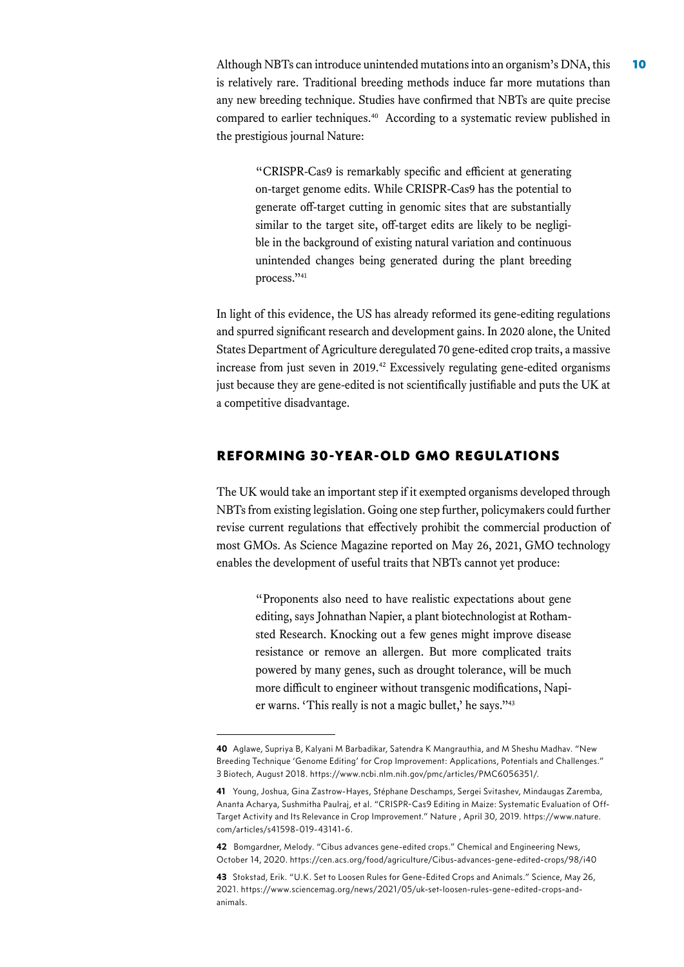Although NBTs can introduce unintended mutations into an organism's DNA, this 10 is relatively rare. Traditional breeding methods induce far more mutations than any new breeding technique. Studies have confirmed that NBTs are quite precise compared to earlier techniques.40 According to a systematic review published in the prestigious journal Nature:

"CRISPR-Cas9 is remarkably specific and efficient at generating on-target genome edits. While CRISPR-Cas9 has the potential to generate off-target cutting in genomic sites that are substantially similar to the target site, off-target edits are likely to be negligible in the background of existing natural variation and continuous unintended changes being generated during the plant breeding process."41

In light of this evidence, the US has already reformed its gene-editing regulations and spurred significant research and development gains. In 2020 alone, the United States Department of Agriculture deregulated 70 gene-edited crop traits, a massive increase from just seven in 2019.<sup>42</sup> Excessively regulating gene-edited organisms just because they are gene-edited is not scientifically justifiable and puts the UK at a competitive disadvantage.

#### REFORMING 30-YEAR-OLD GMO REGULATIONS

The UK would take an important step if it exempted organisms developed through NBTs from existing legislation. Going one step further, policymakers could further revise current regulations that effectively prohibit the commercial production of most GMOs. As Science Magazine reported on May 26, 2021, GMO technology enables the development of useful traits that NBTs cannot yet produce:

"Proponents also need to have realistic expectations about gene editing, says Johnathan Napier, a plant biotechnologist at Rothamsted Research. Knocking out a few genes might improve disease resistance or remove an allergen. But more complicated traits powered by many genes, such as drought tolerance, will be much more difficult to engineer without transgenic modifications, Napier warns. 'This really is not a magic bullet,' he says."43

**<sup>40</sup>** Aglawe, Supriya B, Kalyani M Barbadikar, Satendra K Mangrauthia, and M Sheshu Madhav. "New Breeding Technique 'Genome Editing' for Crop Improvement: Applications, Potentials and Challenges." 3 Biotech, August 2018. <https://www.ncbi.nlm.nih.gov/pmc/articles/PMC6056351/>.

**<sup>41</sup>** Young, Joshua, Gina Zastrow-Hayes, Stéphane Deschamps, Sergei Svitashev, Mindaugas Zaremba, Ananta Acharya, Sushmitha Paulraj, et al. "CRISPR-Cas9 Editing in Maize: Systematic Evaluation of Off-Target Activity and Its Relevance in Crop Improvement." Nature , April 30, 2019. [https://www.nature.](https://www.nature.com/articles/s41598-019-43141-6) [com/articles/s41598-019-43141-6](https://www.nature.com/articles/s41598-019-43141-6).

**<sup>42</sup>** Bomgardner, Melody. "Cibus advances gene-edited crops." Chemical and Engineering News, October 14, 2020.<https://cen.acs.org/food/agriculture/Cibus-advances-gene-edited-crops/98/i40>

**<sup>43</sup>** Stokstad, Erik. "U.K. Set to Loosen Rules for Gene-Edited Crops and Animals." Science, May 26, 2021. [https://www.sciencemag.org/news/2021/05/uk-set-loosen-rules-gene-edited-crops-and](https://www.sciencemag.org/news/2021/05/uk-set-loosen-rules-gene-edited-crops-and-animals)[animals.](https://www.sciencemag.org/news/2021/05/uk-set-loosen-rules-gene-edited-crops-and-animals)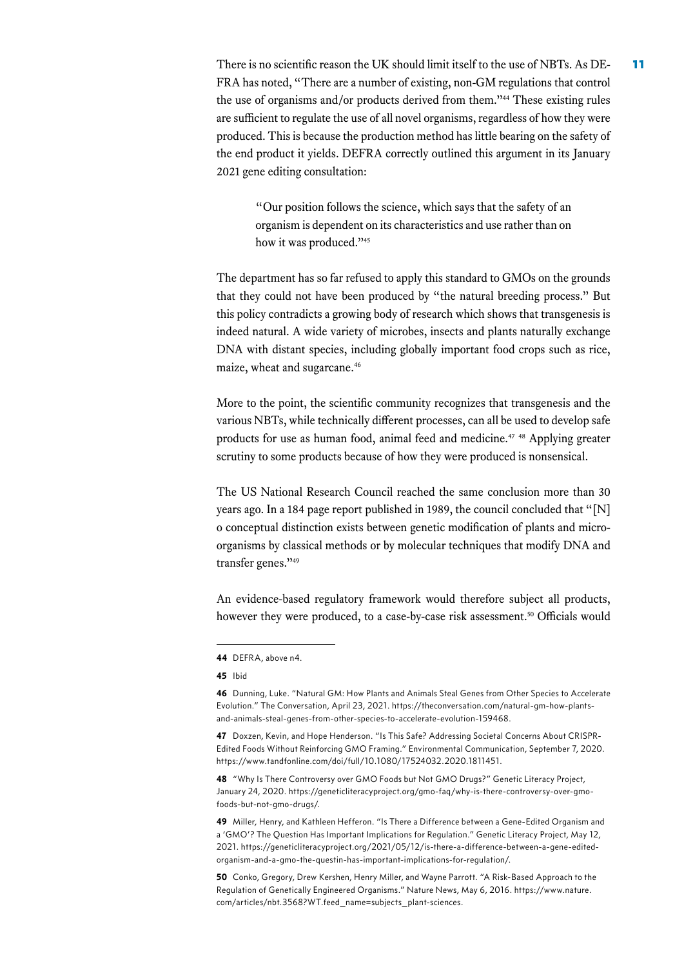There is no scientific reason the UK should limit itself to the use of NBTs. As  $DE-11$ FRA has noted, "There are a number of existing, non-GM regulations that control the use of organisms and/or products derived from them."44 These existing rules are sufficient to regulate the use of all novel organisms, regardless of how they were produced. This is because the production method has little bearing on the safety of the end product it yields. DEFRA correctly outlined this argument in its January 2021 gene editing consultation:

"Our position follows the science, which says that the safety of an organism is dependent on its characteristics and use rather than on how it was produced."45

The department has so far refused to apply this standard to GMOs on the grounds that they could not have been produced by "the natural breeding process." But this policy contradicts a growing body of research which shows that transgenesis is indeed natural. A wide variety of microbes, insects and plants naturally exchange DNA with distant species, including globally important food crops such as rice, maize, wheat and sugarcane.<sup>46</sup>

More to the point, the scientific community recognizes that transgenesis and the various NBTs, while technically different processes, can all be used to develop safe products for use as human food, animal feed and medicine.<sup>47</sup> 48 Applying greater scrutiny to some products because of how they were produced is nonsensical.

The US National Research Council reached the same conclusion more than 30 years ago. In a 184 page report published in 1989, the council concluded that "[N] o conceptual distinction exists between genetic modification of plants and microorganisms by classical methods or by molecular techniques that modify DNA and transfer genes."49

An evidence-based regulatory framework would therefore subject all products, however they were produced, to a case-by-case risk assessment.<sup>50</sup> Officials would

**45** Ibid

**47** Doxzen, Kevin, and Hope Henderson. "Is This Safe? Addressing Societal Concerns About CRISPR-Edited Foods Without Reinforcing GMO Framing." Environmental Communication, September 7, 2020. <https://www.tandfonline.com/doi/full/10.1080/17524032.2020.1811451>.

**48** "Why Is There Controversy over GMO Foods but Not GMO Drugs?" Genetic Literacy Project, January 24, 2020. [https://geneticliteracyproject.org/gmo-faq/why-is-there-controversy-over-gmo](https://geneticliteracyproject.org/gmo-faq/why-is-there-controversy-over-gmo-foods-but-not-gmo-drugs/)[foods-but-not-gmo-drugs/.](https://geneticliteracyproject.org/gmo-faq/why-is-there-controversy-over-gmo-foods-but-not-gmo-drugs/) 

**49** Miller, Henry, and Kathleen Hefferon. "Is There a Difference between a Gene-Edited Organism and a 'GMO'? The Question Has Important Implications for Regulation." Genetic Literacy Project, May 12, 2021. [https://geneticliteracyproject.org/2021/05/12/is-there-a-difference-between-a-gene-edited](https://geneticliteracyproject.org/2021/05/12/is-there-a-difference-between-a-gene-edited-organism-and-a-gmo-the-questin-has-important-implications-for-regulation/)[organism-and-a-gmo-the-questin-has-important-implications-for-regulation/.](https://geneticliteracyproject.org/2021/05/12/is-there-a-difference-between-a-gene-edited-organism-and-a-gmo-the-questin-has-important-implications-for-regulation/)

**50** Conko, Gregory, Drew Kershen, Henry Miller, and Wayne Parrott. "A Risk-Based Approach to the Regulation of Genetically Engineered Organisms." Nature News, May 6, 2016. [https://www.nature.](https://www.nature.com/articles/nbt.3568?WT.feed_name=subjects_plant-sciences) [com/articles/nbt.3568?WT.feed\\_name=subjects\\_plant-sciences](https://www.nature.com/articles/nbt.3568?WT.feed_name=subjects_plant-sciences).

**<sup>44</sup>** DEFRA, above n4.

**<sup>46</sup>** Dunning, Luke. "Natural GM: How Plants and Animals Steal Genes from Other Species to Accelerate Evolution." The Conversation, April 23, 2021. [https://theconversation.com/natural-gm-how-plants](https://geneticliteracyproject.org/2021/04/26/natural-gmos-plants-and-animals-steal-genes-from-other-species-during-process-of-evolution-mimicking-transgenics/)[and-animals-steal-genes-from-other-species-to-accelerate-evolution-159468.](https://geneticliteracyproject.org/2021/04/26/natural-gmos-plants-and-animals-steal-genes-from-other-species-during-process-of-evolution-mimicking-transgenics/)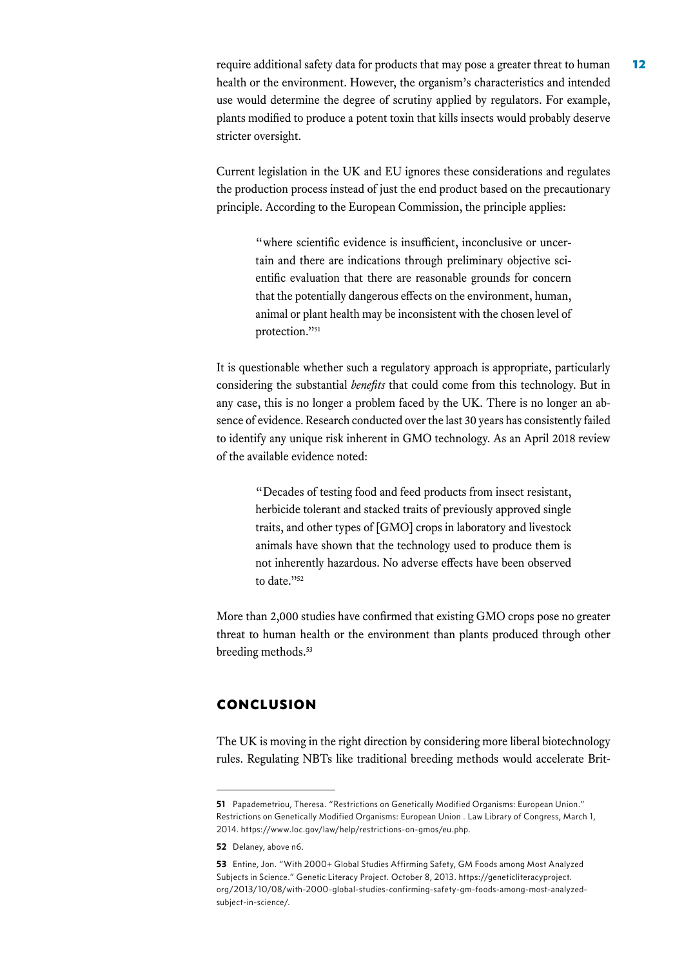require additional safety data for products that may pose a greater threat to human 12 health or the environment. However, the organism's characteristics and intended use would determine the degree of scrutiny applied by regulators. For example, plants modified to produce a potent toxin that kills insects would probably deserve stricter oversight.

Current legislation in the UK and EU ignores these considerations and regulates the production process instead of just the end product based on the precautionary principle. According to the European Commission, the principle applies:

"where scientific evidence is insufficient, inconclusive or uncertain and there are indications through preliminary objective scientific evaluation that there are reasonable grounds for concern that the potentially dangerous effects on the environment, human, animal or plant health may be inconsistent with the chosen level of protection."<sup>51</sup>

It is questionable whether such a regulatory approach is appropriate, particularly considering the substantial *benefits* that could come from this technology. But in any case, this is no longer a problem faced by the UK. There is no longer an absence of evidence. Research conducted over the last 30 years has consistently failed to identify any unique risk inherent in GMO technology. As an April 2018 review of the available evidence noted:

"Decades of testing food and feed products from insect resistant, herbicide tolerant and stacked traits of previously approved single traits, and other types of [GMO] crops in laboratory and livestock animals have shown that the technology used to produce them is not inherently hazardous. No adverse effects have been observed to date."<sup>52</sup>

More than 2,000 studies have confirmed that existing GMO crops pose no greater threat to human health or the environment than plants produced through other breeding methods.<sup>53</sup>

## CONCLUSION

The UK is moving in the right direction by considering more liberal biotechnology rules. Regulating NBTs like traditional breeding methods would accelerate Brit-

**<sup>51</sup>** Papademetriou, Theresa. "Restrictions on Genetically Modified Organisms: European Union." Restrictions on Genetically Modified Organisms: European Union . Law Library of Congress, March 1, 2014. [https://www.loc.gov/law/help/restrictions-on-gmos/eu.php.](https://www.loc.gov/law/help/restrictions-on-gmos/eu.php)

**<sup>52</sup>** Delaney, above n6.

**<sup>53</sup>** Entine, Jon. "With 2000+ Global Studies Affirming Safety, GM Foods among Most Analyzed Subjects in Science." Genetic Literacy Project. October 8, 2013. [https://geneticliteracyproject.](https://geneticliteracyproject.org/2013/10/08/with-2000-global-studies-confirming-safety-gm-foods-among-most-analyzed-subject-in-science/) [org/2013/10/08/with-2000-global-studies-confirming-safety-gm-foods-among-most-analyzed](https://geneticliteracyproject.org/2013/10/08/with-2000-global-studies-confirming-safety-gm-foods-among-most-analyzed-subject-in-science/)[subject-in-science/](https://geneticliteracyproject.org/2013/10/08/with-2000-global-studies-confirming-safety-gm-foods-among-most-analyzed-subject-in-science/).